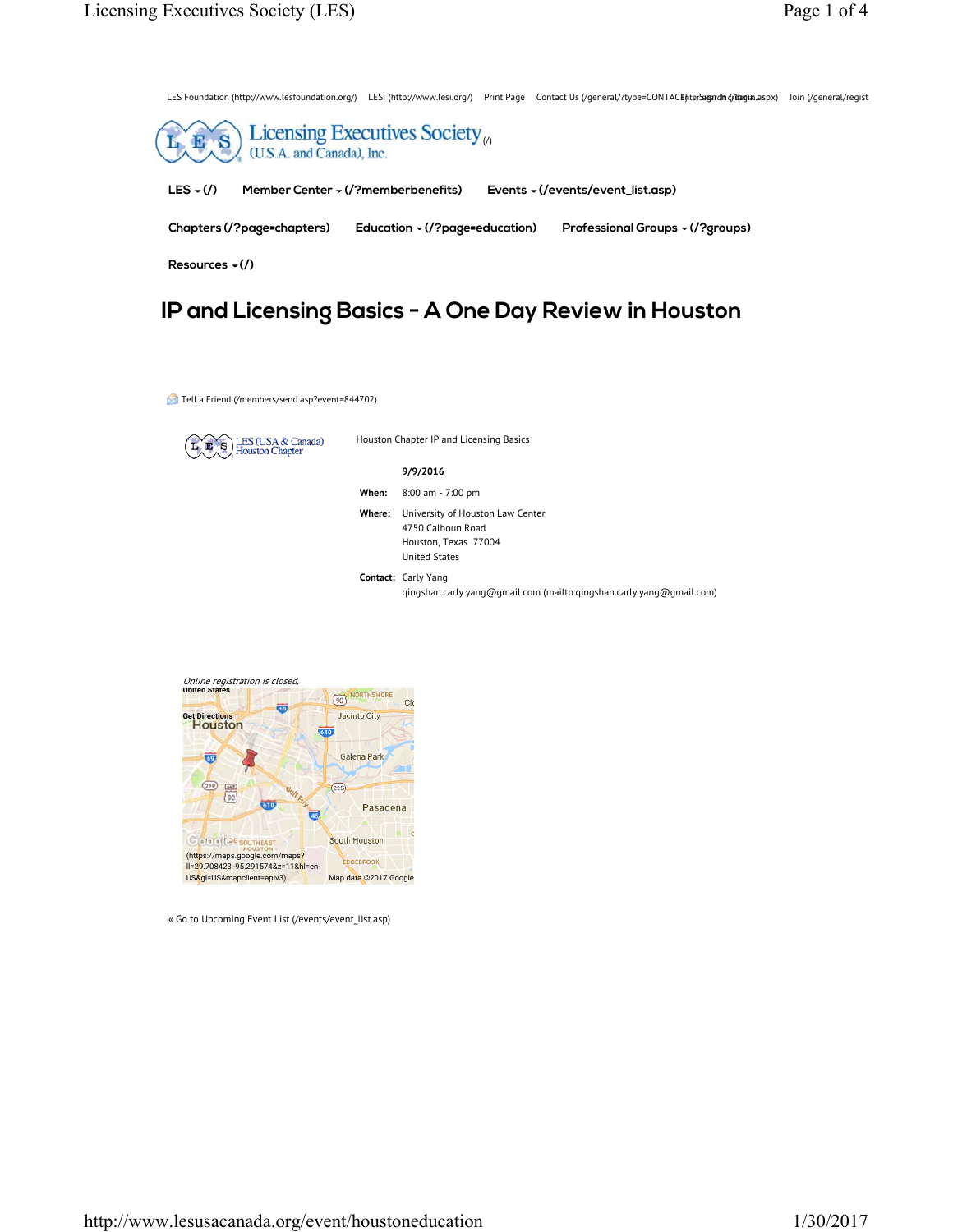LES Foundation (http://www.lesfoundation.org/) LESI (http://www.lesi.org/) Print Page Contact Us (/general/?type=CONTACE)nterSigndm (/ilogin.aspx) Join (/general/regist



# **IP and Licensing Basics - A One Day Review in Houston**

Tell a Friend (/members/send.asp?event=844702)



Houston Chapter IP and Licensing Basics

# **9/9/2016**

- **When:** 8:00 am 7:00 pm
- **Where:** University of Houston Law Center 4750 Calhoun Road Houston, Texas 77004 United States
- **Contact:** Carly Yang qingshan.carly.yang@gmail.com (mailto:qingshan.carly.yang@gmail.com)



<sup>«</sup> Go to Upcoming Event List (/events/event\_list.asp)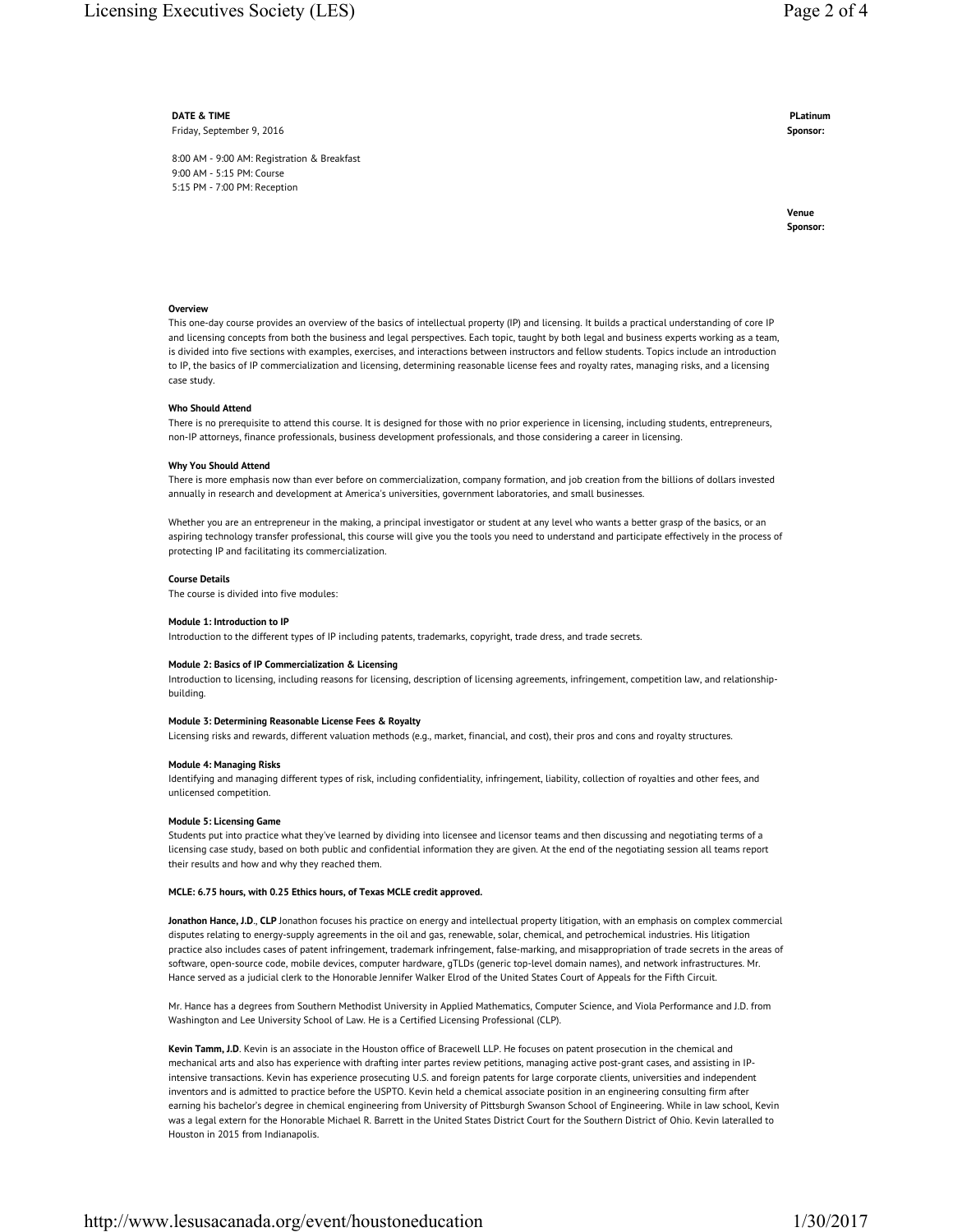**DATE & TIME** Friday, September 9, 2016

8:00 AM - 9:00 AM: Registration & Breakfast 9:00 AM - 5:15 PM: Course 5:15 PM - 7:00 PM: Reception

**PLatinum Sponsor:**

**Venue Sponsor:**

# **Overview**

This one-day course provides an overview of the basics of intellectual property (IP) and licensing. It builds a practical understanding of core IP and licensing concepts from both the business and legal perspectives. Each topic, taught by both legal and business experts working as a team, is divided into five sections with examples, exercises, and interactions between instructors and fellow students. Topics include an introduction to IP, the basics of IP commercialization and licensing, determining reasonable license fees and royalty rates, managing risks, and a licensing case study.

# **Who Should Attend**

There is no prerequisite to attend this course. It is designed for those with no prior experience in licensing, including students, entrepreneurs, non-IP attorneys, finance professionals, business development professionals, and those considering a career in licensing.

#### **Why You Should Attend**

There is more emphasis now than ever before on commercialization, company formation, and job creation from the billions of dollars invested annually in research and development at America's universities, government laboratories, and small businesses.

Whether you are an entrepreneur in the making, a principal investigator or student at any level who wants a better grasp of the basics, or an aspiring technology transfer professional, this course will give you the tools you need to understand and participate effectively in the process of protecting IP and facilitating its commercialization.

# **Course Details**

The course is divided into five modules:

#### **Module 1: Introduction to IP**

Introduction to the different types of IP including patents, trademarks, copyright, trade dress, and trade secrets.

# **Module 2: Basics of IP Commercialization & Licensing**

Introduction to licensing, including reasons for licensing, description of licensing agreements, infringement, competition law, and relationshipbuilding.

#### **Module 3: Determining Reasonable License Fees & Royalty**

Licensing risks and rewards, different valuation methods (e.g., market, financial, and cost), their pros and cons and royalty structures.

# **Module 4: Managing Risks**

Identifying and managing different types of risk, including confidentiality, infringement, liability, collection of royalties and other fees, and unlicensed competition.

# **Module 5: Licensing Game**

Students put into practice what they've learned by dividing into licensee and licensor teams and then discussing and negotiating terms of a licensing case study, based on both public and confidential information they are given. At the end of the negotiating session all teams report their results and how and why they reached them.

# **MCLE: 6.75 hours, with 0.25 Ethics hours, of Texas MCLE credit approved.**

**Jonathon Hance, J.D**., **CLP** Jonathon focuses his practice on energy and intellectual property litigation, with an emphasis on complex commercial disputes relating to energy-supply agreements in the oil and gas, renewable, solar, chemical, and petrochemical industries. His litigation practice also includes cases of patent infringement, trademark infringement, false-marking, and misappropriation of trade secrets in the areas of software, open-source code, mobile devices, computer hardware, gTLDs (generic top-level domain names), and network infrastructures. Mr. Hance served as a judicial clerk to the Honorable Jennifer Walker Elrod of the United States Court of Appeals for the Fifth Circuit.

Mr. Hance has a degrees from Southern Methodist University in Applied Mathematics, Computer Science, and Viola Performance and J.D. from Washington and Lee University School of Law. He is a Certified Licensing Professional (CLP).

**Kevin Tamm, J.D**. Kevin is an associate in the Houston office of Bracewell LLP. He focuses on patent prosecution in the chemical and mechanical arts and also has experience with drafting inter partes review petitions, managing active post-grant cases, and assisting in IPintensive transactions. Kevin has experience prosecuting U.S. and foreign patents for large corporate clients, universities and independent inventors and is admitted to practice before the USPTO. Kevin held a chemical associate position in an engineering consulting firm after earning his bachelor's degree in chemical engineering from University of Pittsburgh Swanson School of Engineering. While in law school, Kevin was a legal extern for the Honorable Michael R. Barrett in the United States District Court for the Southern District of Ohio. Kevin lateralled to Houston in 2015 from Indianapolis.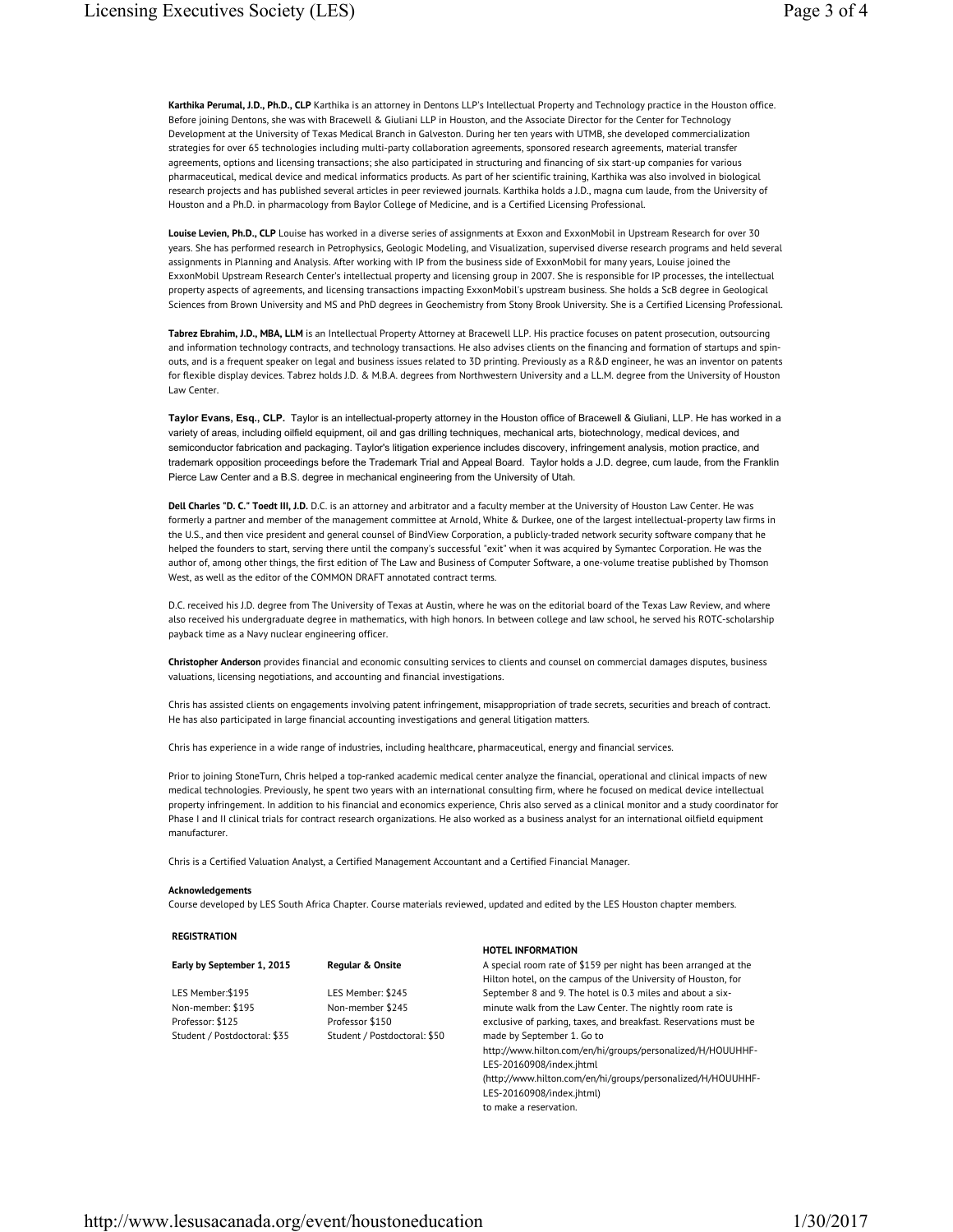**Karthika Perumal, J.D., Ph.D., CLP** Karthika is an attorney in Dentons LLP's Intellectual Property and Technology practice in the Houston office. Before joining Dentons, she was with Bracewell & Giuliani LLP in Houston, and the Associate Director for the Center for Technology Development at the University of Texas Medical Branch in Galveston. During her ten years with UTMB, she developed commercialization strategies for over 65 technologies including multi-party collaboration agreements, sponsored research agreements, material transfer agreements, options and licensing transactions; she also participated in structuring and financing of six start-up companies for various pharmaceutical, medical device and medical informatics products. As part of her scientific training, Karthika was also involved in biological research projects and has published several articles in peer reviewed journals. Karthika holds a J.D., magna cum laude, from the University of Houston and a Ph.D. in pharmacology from Baylor College of Medicine, and is a Certified Licensing Professional.

Louise Levien, Ph.D., CLP Louise has worked in a diverse series of assignments at Exxon and ExxonMobil in Upstream Research for over 30 years. She has performed research in Petrophysics, Geologic Modeling, and Visualization, supervised diverse research programs and held several assignments in Planning and Analysis. After working with IP from the business side of ExxonMobil for many years, Louise joined the ExxonMobil Upstream Research Center's intellectual property and licensing group in 2007. She is responsible for IP processes, the intellectual property aspects of agreements, and licensing transactions impacting ExxonMobil's upstream business. She holds a ScB degree in Geological Sciences from Brown University and MS and PhD degrees in Geochemistry from Stony Brook University. She is a Certified Licensing Professional.

**Tabrez Ebrahim, J.D., MBA, LLM** is an Intellectual Property Attorney at Bracewell LLP. His practice focuses on patent prosecution, outsourcing and information technology contracts, and technology transactions. He also advises clients on the financing and formation of startups and spinouts, and is a frequent speaker on legal and business issues related to 3D printing. Previously as a R&D engineer, he was an inventor on patents for flexible display devices. Tabrez holds J.D. & M.B.A. degrees from Northwestern University and a LL.M. degree from the University of Houston Law Center.

**Taylor Evans, Esq., CLP.** Taylor is an intellectual-property attorney in the Houston office of Bracewell & Giuliani, LLP. He has worked in a variety of areas, including oilfield equipment, oil and gas drilling techniques, mechanical arts, biotechnology, medical devices, and semiconductor fabrication and packaging. Taylor's litigation experience includes discovery, infringement analysis, motion practice, and trademark opposition proceedings before the Trademark Trial and Appeal Board. Taylor holds a J.D. degree, cum laude, from the Franklin Pierce Law Center and a B.S. degree in mechanical engineering from the University of Utah.

**Dell Charles "D. C." Toedt III, J.D.** D.C. is an attorney and arbitrator and a faculty member at the University of Houston Law Center. He was formerly a partner and member of the management committee at Arnold, White & Durkee, one of the largest intellectual-property law firms in the U.S., and then vice president and general counsel of BindView Corporation, a publicly-traded network security software company that he helped the founders to start, serving there until the company's successful "exit" when it was acquired by Symantec Corporation. He was the author of, among other things, the first edition of The Law and Business of Computer Software, a one-volume treatise published by Thomson West, as well as the editor of the COMMON DRAFT annotated contract terms.

D.C. received his J.D. degree from The University of Texas at Austin, where he was on the editorial board of the Texas Law Review, and where also received his undergraduate degree in mathematics, with high honors. In between college and law school, he served his ROTC-scholarship payback time as a Navy nuclear engineering officer.

**Christopher Anderson** provides financial and economic consulting services to clients and counsel on commercial damages disputes, business valuations, licensing negotiations, and accounting and financial investigations.

Chris has assisted clients on engagements involving patent infringement, misappropriation of trade secrets, securities and breach of contract. He has also participated in large financial accounting investigations and general litigation matters.

Chris has experience in a wide range of industries, including healthcare, pharmaceutical, energy and financial services.

Prior to joining StoneTurn, Chris helped a top-ranked academic medical center analyze the financial, operational and clinical impacts of new medical technologies. Previously, he spent two years with an international consulting firm, where he focused on medical device intellectual property infringement. In addition to his financial and economics experience, Chris also served as a clinical monitor and a study coordinator for Phase I and II clinical trials for contract research organizations. He also worked as a business analyst for an international oilfield equipment manufacturer.

Chris is a Certified Valuation Analyst, a Certified Management Accountant and a Certified Financial Manager.

#### **Acknowledgements**

Course developed by LES South Africa Chapter. Course materials reviewed, updated and edited by the LES Houston chapter members.

# **REGISTRATION**

|                              |                              | <b>HOTEL INFORMATION</b>                                         |
|------------------------------|------------------------------|------------------------------------------------------------------|
| Early by September 1, 2015   | Regular & Onsite             | A special room rate of \$159 per night has been arranged at the  |
|                              |                              | Hilton hotel, on the campus of the University of Houston, for    |
| LES Member: \$195            | LES Member: \$245            | September 8 and 9. The hotel is 0.3 miles and about a six-       |
| Non-member: \$195            | Non-member \$245             | minute walk from the Law Center. The nightly room rate is        |
| Professor: \$125             | Professor \$150              | exclusive of parking, taxes, and breakfast. Reservations must be |
| Student / Postdoctoral: \$35 | Student / Postdoctoral: \$50 | made by September 1. Go to                                       |
|                              |                              | http://www.hilton.com/en/hi/groups/personalized/H/HOUUHHF-       |
|                              |                              | LES-20160908/index.jhtml                                         |
|                              |                              | (http://www.hilton.com/en/hi/groups/personalized/H/HOULHHE-      |

11/groups/personalized/H/HOU LES-20160908/index.jhtml) to make a reservation.